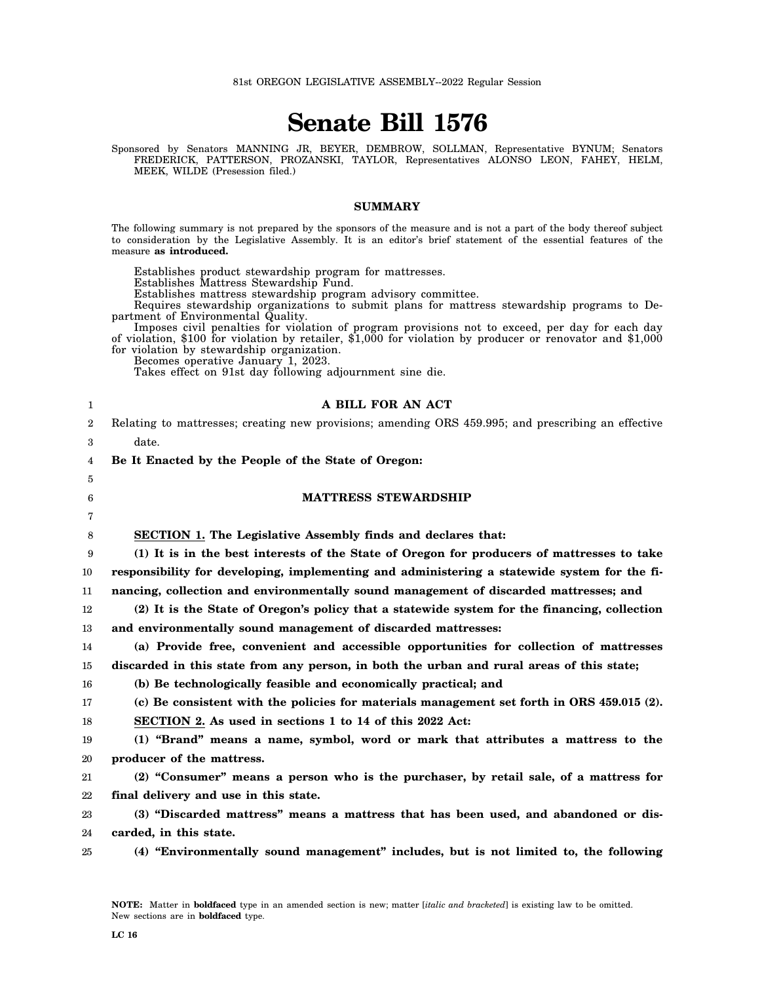81st OREGON LEGISLATIVE ASSEMBLY--2022 Regular Session

# **Senate Bill 1576**

Sponsored by Senators MANNING JR, BEYER, DEMBROW, SOLLMAN, Representative BYNUM; Senators FREDERICK, PATTERSON, PROZANSKI, TAYLOR, Representatives ALONSO LEON, FAHEY, HELM, MEEK, WILDE (Presession filed.)

#### **SUMMARY**

The following summary is not prepared by the sponsors of the measure and is not a part of the body thereof subject to consideration by the Legislative Assembly. It is an editor's brief statement of the essential features of the measure **as introduced.**

Establishes product stewardship program for mattresses.

Establishes Mattress Stewardship Fund.

Establishes mattress stewardship program advisory committee.

Requires stewardship organizations to submit plans for mattress stewardship programs to Department of Environmental Quality.

Imposes civil penalties for violation of program provisions not to exceed, per day for each day of violation, \$100 for violation by retailer, \$1,000 for violation by producer or renovator and \$1,000 for violation by stewardship organization.

Becomes operative January 1, 2023.

Takes effect on 91st day following adjournment sine die.

| 1                | A BILL FOR AN ACT                                                                                   |
|------------------|-----------------------------------------------------------------------------------------------------|
| $\boldsymbol{2}$ | Relating to mattresses; creating new provisions; amending ORS 459.995; and prescribing an effective |
| 3                | date.                                                                                               |
| 4                | Be It Enacted by the People of the State of Oregon:                                                 |
| 5                |                                                                                                     |
| 6                | <b>MATTRESS STEWARDSHIP</b>                                                                         |
| 7                |                                                                                                     |
| 8                | <b>SECTION 1. The Legislative Assembly finds and declares that:</b>                                 |
| 9                | (1) It is in the best interests of the State of Oregon for producers of mattresses to take          |
| 10               | responsibility for developing, implementing and administering a statewide system for the fi-        |
| 11               | nancing, collection and environmentally sound management of discarded mattresses; and               |
| 12               | (2) It is the State of Oregon's policy that a statewide system for the financing, collection        |
| 13               | and environmentally sound management of discarded mattresses:                                       |
| 14               | (a) Provide free, convenient and accessible opportunities for collection of mattresses              |
| 15               | discarded in this state from any person, in both the urban and rural areas of this state;           |
| 16               | (b) Be technologically feasible and economically practical; and                                     |
| 17               | (c) Be consistent with the policies for materials management set forth in ORS 459.015 (2).          |
| 18               | SECTION 2. As used in sections 1 to 14 of this 2022 Act:                                            |
| 19               | (1) "Brand" means a name, symbol, word or mark that attributes a mattress to the                    |
| 20               | producer of the mattress.                                                                           |
| 21               | (2) "Consumer" means a person who is the purchaser, by retail sale, of a mattress for               |
| 22               | final delivery and use in this state.                                                               |
| 23               | (3) "Discarded mattress" means a mattress that has been used, and abandoned or dis-                 |
| 24               | carded, in this state.                                                                              |
| 25               | (4) "Environmentally sound management" includes, but is not limited to, the following               |
|                  |                                                                                                     |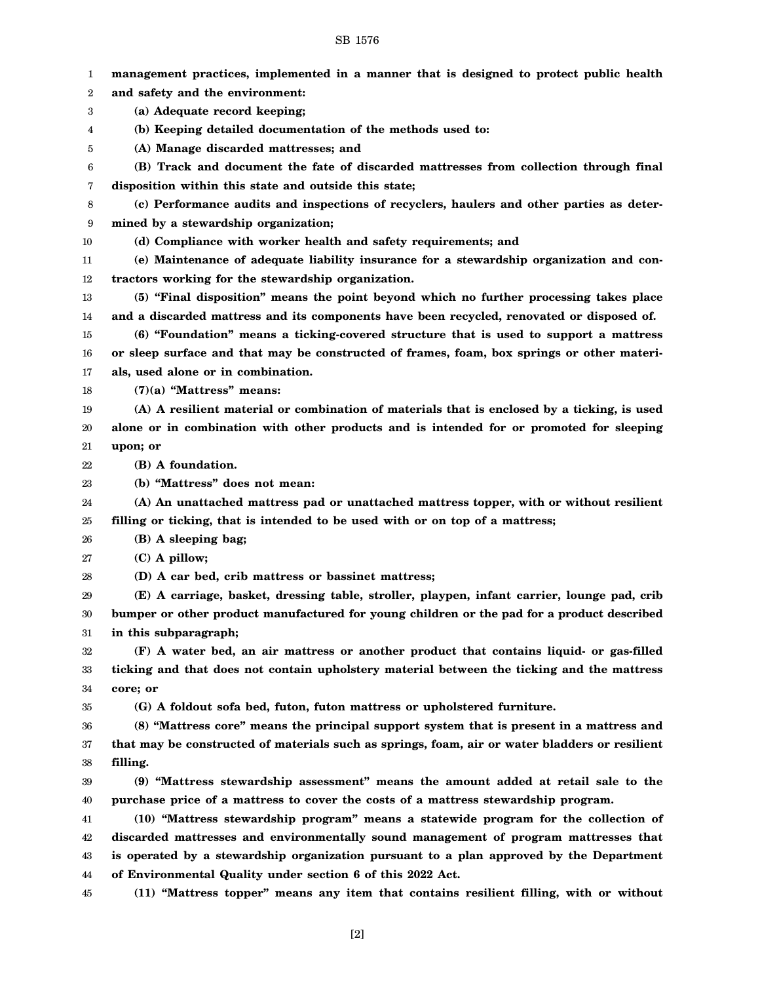| 1        | management practices, implemented in a manner that is designed to protect public health                    |
|----------|------------------------------------------------------------------------------------------------------------|
| 2        | and safety and the environment:                                                                            |
| 3        | (a) Adequate record keeping;                                                                               |
| 4        | (b) Keeping detailed documentation of the methods used to:                                                 |
| 5        | (A) Manage discarded mattresses; and                                                                       |
| 6        | (B) Track and document the fate of discarded mattresses from collection through final                      |
| 7        | disposition within this state and outside this state;                                                      |
| 8        | (c) Performance audits and inspections of recyclers, haulers and other parties as deter-                   |
| 9        | mined by a stewardship organization;                                                                       |
| 10       | (d) Compliance with worker health and safety requirements; and                                             |
| 11       | (e) Maintenance of adequate liability insurance for a stewardship organization and con-                    |
| 12       | tractors working for the stewardship organization.                                                         |
| 13       | (5) "Final disposition" means the point beyond which no further processing takes place                     |
| 14       | and a discarded mattress and its components have been recycled, renovated or disposed of.                  |
| 15       | (6) "Foundation" means a ticking-covered structure that is used to support a mattress                      |
| 16       | or sleep surface and that may be constructed of frames, foam, box springs or other materi-                 |
| 17       | als, used alone or in combination.                                                                         |
| 18       | $(7)(a)$ "Mattress" means:                                                                                 |
| 19       | (A) A resilient material or combination of materials that is enclosed by a ticking, is used                |
| 20       | alone or in combination with other products and is intended for or promoted for sleeping                   |
| 21       | upon; or                                                                                                   |
| 22       | (B) A foundation.                                                                                          |
| 23       | (b) "Mattress" does not mean:                                                                              |
| 24       | (A) An unattached mattress pad or unattached mattress topper, with or without resilient                    |
| 25       | filling or ticking, that is intended to be used with or on top of a mattress;                              |
| 26       | (B) A sleeping bag;                                                                                        |
| 27       | $(C)$ A pillow;                                                                                            |
| 28       | (D) A car bed, crib mattress or bassinet mattress;                                                         |
| 29       | (E) A carriage, basket, dressing table, stroller, playpen, infant carrier, lounge pad, crib                |
| 30       | bumper or other product manufactured for young children or the pad for a product described                 |
| 31       | in this subparagraph;                                                                                      |
| 32       | (F) A water bed, an air mattress or another product that contains liquid- or gas-filled                    |
| 33       | ticking and that does not contain upholstery material between the ticking and the mattress                 |
| 34       | core; or                                                                                                   |
| 35       | (G) A foldout sofa bed, futon, futon mattress or upholstered furniture.                                    |
| 36       | (8) "Mattress core" means the principal support system that is present in a mattress and                   |
| 37       | that may be constructed of materials such as springs, foam, air or water bladders or resilient<br>filling. |
| 38       | (9) "Mattress stewardship assessment" means the amount added at retail sale to the                         |
| 39<br>40 | purchase price of a mattress to cover the costs of a mattress stewardship program.                         |
| 41       | (10) "Mattress stewardship program" means a statewide program for the collection of                        |
| 42       | discarded mattresses and environmentally sound management of program mattresses that                       |
| 43       | is operated by a stewardship organization pursuant to a plan approved by the Department                    |
| 44       | of Environmental Quality under section 6 of this 2022 Act.                                                 |
| 45       | (11) "Mattress topper" means any item that contains resilient filling, with or without                     |
|          |                                                                                                            |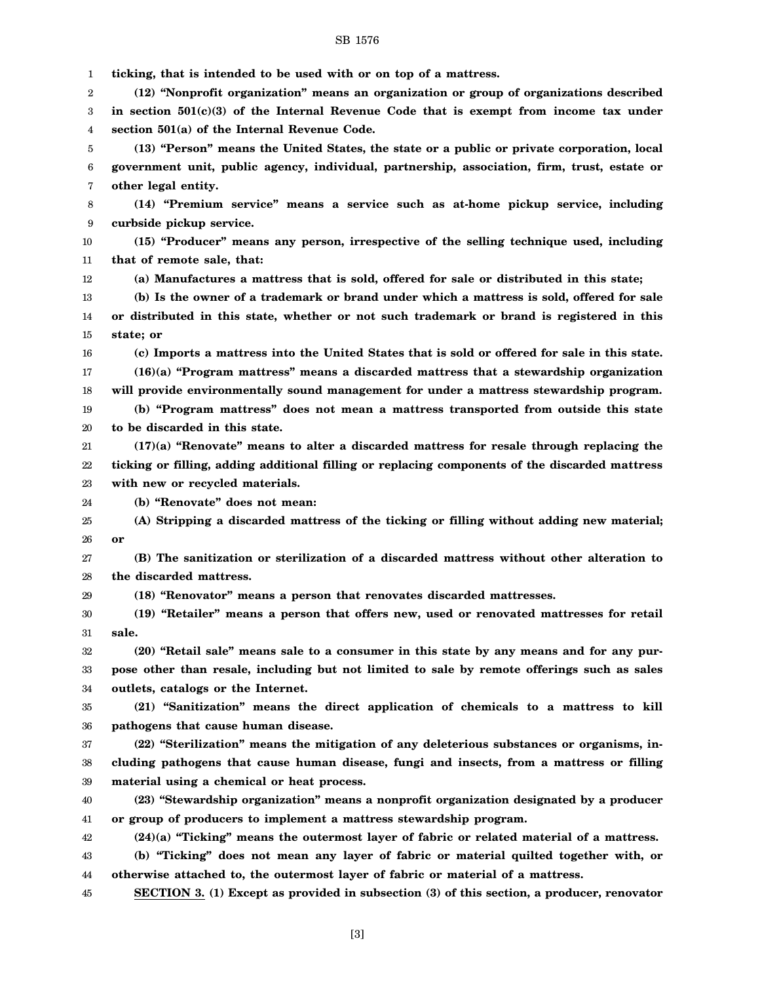1 2 3 4 5 6 7 8 9 10 11 12 13 14 15 16 17 18 19 20 21 22 23 24 25 26 27 28 29 30 31 32 33 34 35 36 37 38 39 40 41 42 43 44 45 **ticking, that is intended to be used with or on top of a mattress. (12) "Nonprofit organization" means an organization or group of organizations described in section 501(c)(3) of the Internal Revenue Code that is exempt from income tax under section 501(a) of the Internal Revenue Code. (13) "Person" means the United States, the state or a public or private corporation, local government unit, public agency, individual, partnership, association, firm, trust, estate or other legal entity. (14) "Premium service" means a service such as at-home pickup service, including curbside pickup service. (15) "Producer" means any person, irrespective of the selling technique used, including that of remote sale, that: (a) Manufactures a mattress that is sold, offered for sale or distributed in this state; (b) Is the owner of a trademark or brand under which a mattress is sold, offered for sale or distributed in this state, whether or not such trademark or brand is registered in this state; or (c) Imports a mattress into the United States that is sold or offered for sale in this state. (16)(a) "Program mattress" means a discarded mattress that a stewardship organization will provide environmentally sound management for under a mattress stewardship program. (b) "Program mattress" does not mean a mattress transported from outside this state to be discarded in this state. (17)(a) "Renovate" means to alter a discarded mattress for resale through replacing the ticking or filling, adding additional filling or replacing components of the discarded mattress with new or recycled materials. (b) "Renovate" does not mean: (A) Stripping a discarded mattress of the ticking or filling without adding new material; or (B) The sanitization or sterilization of a discarded mattress without other alteration to the discarded mattress. (18) "Renovator" means a person that renovates discarded mattresses. (19) "Retailer" means a person that offers new, used or renovated mattresses for retail sale. (20) "Retail sale" means sale to a consumer in this state by any means and for any purpose other than resale, including but not limited to sale by remote offerings such as sales outlets, catalogs or the Internet. (21) "Sanitization" means the direct application of chemicals to a mattress to kill pathogens that cause human disease. (22) "Sterilization" means the mitigation of any deleterious substances or organisms, including pathogens that cause human disease, fungi and insects, from a mattress or filling material using a chemical or heat process. (23) "Stewardship organization" means a nonprofit organization designated by a producer or group of producers to implement a mattress stewardship program. (24)(a) "Ticking" means the outermost layer of fabric or related material of a mattress. (b) "Ticking" does not mean any layer of fabric or material quilted together with, or otherwise attached to, the outermost layer of fabric or material of a mattress. SECTION 3. (1) Except as provided in subsection (3) of this section, a producer, renovator**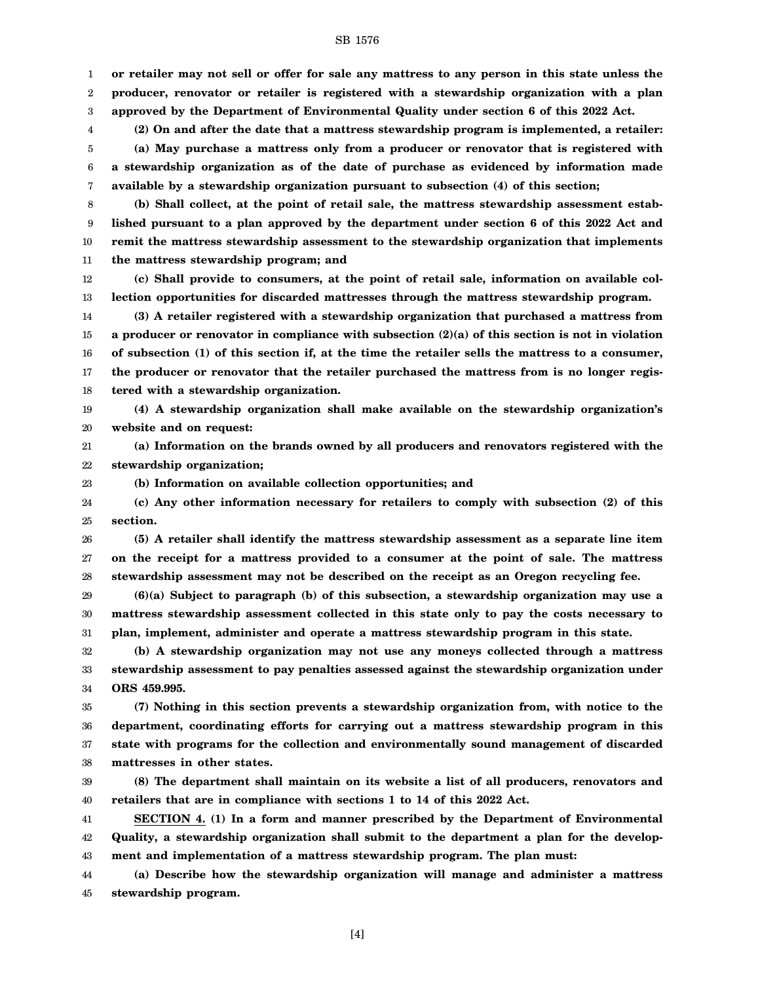1 2 3 **or retailer may not sell or offer for sale any mattress to any person in this state unless the producer, renovator or retailer is registered with a stewardship organization with a plan approved by the Department of Environmental Quality under section 6 of this 2022 Act.**

4 5 6 7 **(2) On and after the date that a mattress stewardship program is implemented, a retailer: (a) May purchase a mattress only from a producer or renovator that is registered with a stewardship organization as of the date of purchase as evidenced by information made available by a stewardship organization pursuant to subsection (4) of this section;**

8 9 10 11 **(b) Shall collect, at the point of retail sale, the mattress stewardship assessment established pursuant to a plan approved by the department under section 6 of this 2022 Act and remit the mattress stewardship assessment to the stewardship organization that implements the mattress stewardship program; and**

12 13 **(c) Shall provide to consumers, at the point of retail sale, information on available collection opportunities for discarded mattresses through the mattress stewardship program.**

14 15 16 17 18 **(3) A retailer registered with a stewardship organization that purchased a mattress from a producer or renovator in compliance with subsection (2)(a) of this section is not in violation of subsection (1) of this section if, at the time the retailer sells the mattress to a consumer, the producer or renovator that the retailer purchased the mattress from is no longer registered with a stewardship organization.**

19 20 **(4) A stewardship organization shall make available on the stewardship organization's website and on request:**

21 22 **(a) Information on the brands owned by all producers and renovators registered with the stewardship organization;**

**(b) Information on available collection opportunities; and**

23

24 25 **(c) Any other information necessary for retailers to comply with subsection (2) of this section.**

26 27 28 **(5) A retailer shall identify the mattress stewardship assessment as a separate line item on the receipt for a mattress provided to a consumer at the point of sale. The mattress stewardship assessment may not be described on the receipt as an Oregon recycling fee.**

29 30 31 **(6)(a) Subject to paragraph (b) of this subsection, a stewardship organization may use a mattress stewardship assessment collected in this state only to pay the costs necessary to plan, implement, administer and operate a mattress stewardship program in this state.**

32 33 34 **(b) A stewardship organization may not use any moneys collected through a mattress stewardship assessment to pay penalties assessed against the stewardship organization under ORS 459.995.**

35 36 37 38 **(7) Nothing in this section prevents a stewardship organization from, with notice to the department, coordinating efforts for carrying out a mattress stewardship program in this state with programs for the collection and environmentally sound management of discarded mattresses in other states.**

39 40 **(8) The department shall maintain on its website a list of all producers, renovators and retailers that are in compliance with sections 1 to 14 of this 2022 Act.**

41 42 43 **SECTION 4. (1) In a form and manner prescribed by the Department of Environmental Quality, a stewardship organization shall submit to the department a plan for the development and implementation of a mattress stewardship program. The plan must:**

44 45 **(a) Describe how the stewardship organization will manage and administer a mattress stewardship program.**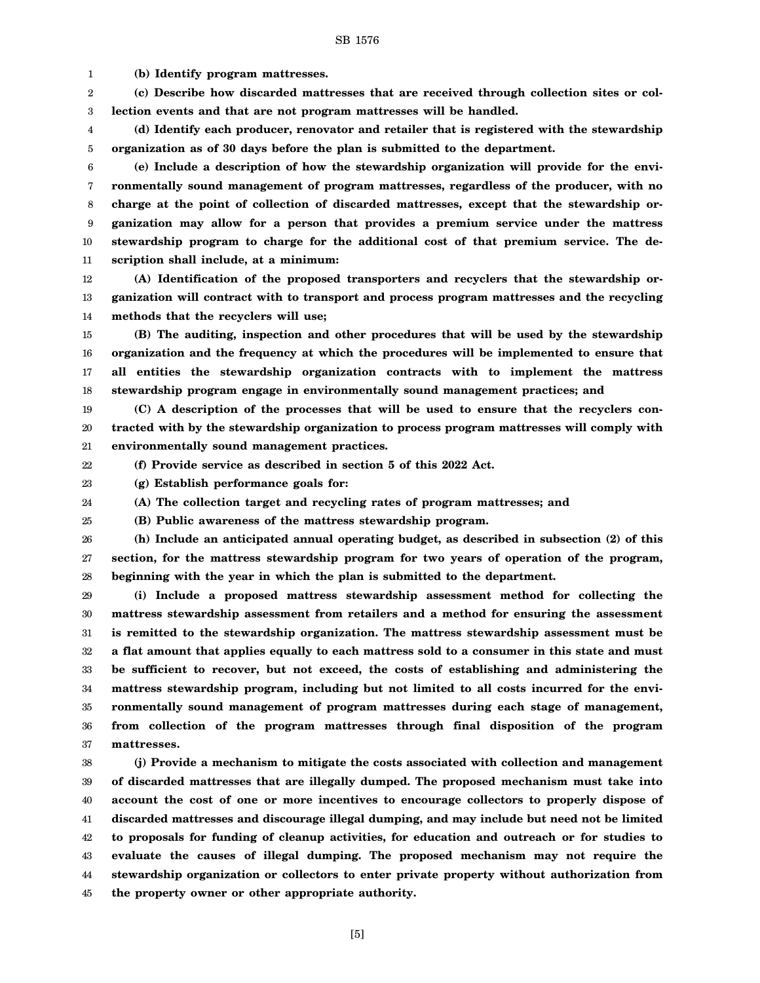1 **(b) Identify program mattresses.**

2 3 **(c) Describe how discarded mattresses that are received through collection sites or collection events and that are not program mattresses will be handled.**

4 5 **(d) Identify each producer, renovator and retailer that is registered with the stewardship organization as of 30 days before the plan is submitted to the department.**

6 7 8 9 10 11 **(e) Include a description of how the stewardship organization will provide for the environmentally sound management of program mattresses, regardless of the producer, with no charge at the point of collection of discarded mattresses, except that the stewardship organization may allow for a person that provides a premium service under the mattress stewardship program to charge for the additional cost of that premium service. The description shall include, at a minimum:**

12 13 14 **(A) Identification of the proposed transporters and recyclers that the stewardship organization will contract with to transport and process program mattresses and the recycling methods that the recyclers will use;**

15 16 17 18 **(B) The auditing, inspection and other procedures that will be used by the stewardship organization and the frequency at which the procedures will be implemented to ensure that all entities the stewardship organization contracts with to implement the mattress stewardship program engage in environmentally sound management practices; and**

19 20 21 **(C) A description of the processes that will be used to ensure that the recyclers contracted with by the stewardship organization to process program mattresses will comply with environmentally sound management practices.**

22 **(f) Provide service as described in section 5 of this 2022 Act.**

23 **(g) Establish performance goals for:**

24 **(A) The collection target and recycling rates of program mattresses; and**

25 **(B) Public awareness of the mattress stewardship program.**

26 27 28 **(h) Include an anticipated annual operating budget, as described in subsection (2) of this section, for the mattress stewardship program for two years of operation of the program, beginning with the year in which the plan is submitted to the department.**

29 30 31 32 33 34 35 36 37 **(i) Include a proposed mattress stewardship assessment method for collecting the mattress stewardship assessment from retailers and a method for ensuring the assessment is remitted to the stewardship organization. The mattress stewardship assessment must be a flat amount that applies equally to each mattress sold to a consumer in this state and must be sufficient to recover, but not exceed, the costs of establishing and administering the mattress stewardship program, including but not limited to all costs incurred for the environmentally sound management of program mattresses during each stage of management, from collection of the program mattresses through final disposition of the program mattresses.**

38 39 40 41 42 43 44 45 **(j) Provide a mechanism to mitigate the costs associated with collection and management of discarded mattresses that are illegally dumped. The proposed mechanism must take into account the cost of one or more incentives to encourage collectors to properly dispose of discarded mattresses and discourage illegal dumping, and may include but need not be limited to proposals for funding of cleanup activities, for education and outreach or for studies to evaluate the causes of illegal dumping. The proposed mechanism may not require the stewardship organization or collectors to enter private property without authorization from the property owner or other appropriate authority.**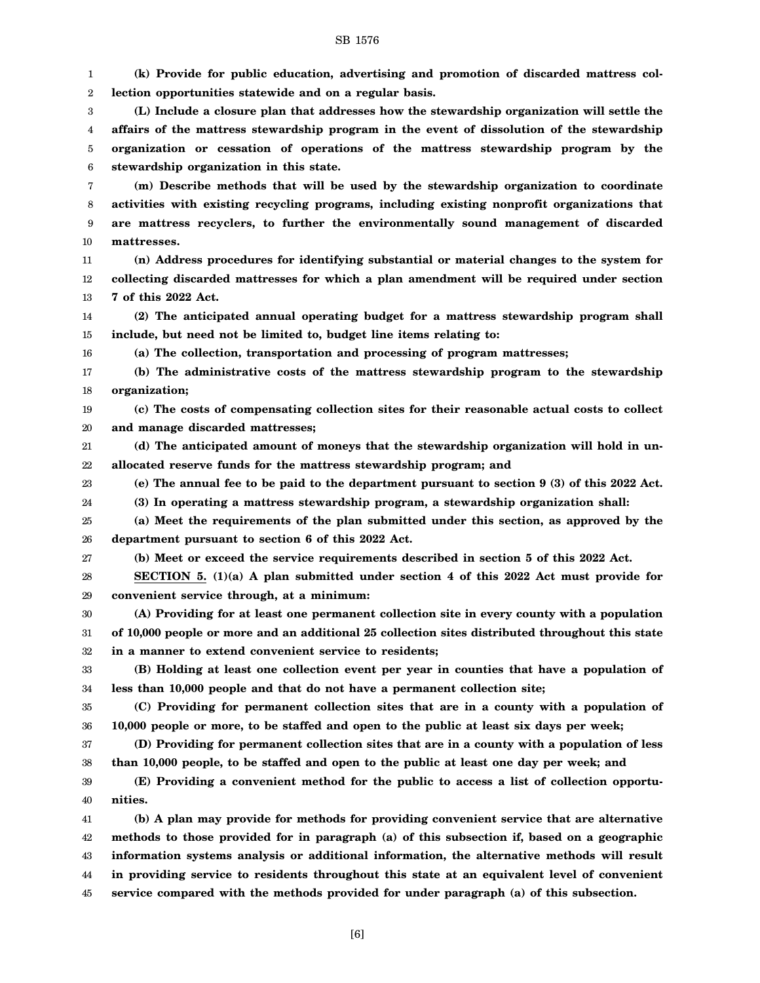1 2 3 4 5 6 7 8 9 10 11 12 13 14 15 16 17 18 19 20 21 22 23 24 25 26 27 28 29 30 31 32 33 34 35 36 37 38 39 40 41 42 43 44 **(k) Provide for public education, advertising and promotion of discarded mattress collection opportunities statewide and on a regular basis. (L) Include a closure plan that addresses how the stewardship organization will settle the affairs of the mattress stewardship program in the event of dissolution of the stewardship organization or cessation of operations of the mattress stewardship program by the stewardship organization in this state. (m) Describe methods that will be used by the stewardship organization to coordinate activities with existing recycling programs, including existing nonprofit organizations that are mattress recyclers, to further the environmentally sound management of discarded mattresses. (n) Address procedures for identifying substantial or material changes to the system for collecting discarded mattresses for which a plan amendment will be required under section 7 of this 2022 Act. (2) The anticipated annual operating budget for a mattress stewardship program shall include, but need not be limited to, budget line items relating to: (a) The collection, transportation and processing of program mattresses; (b) The administrative costs of the mattress stewardship program to the stewardship organization; (c) The costs of compensating collection sites for their reasonable actual costs to collect and manage discarded mattresses; (d) The anticipated amount of moneys that the stewardship organization will hold in unallocated reserve funds for the mattress stewardship program; and (e) The annual fee to be paid to the department pursuant to section 9 (3) of this 2022 Act. (3) In operating a mattress stewardship program, a stewardship organization shall: (a) Meet the requirements of the plan submitted under this section, as approved by the department pursuant to section 6 of this 2022 Act. (b) Meet or exceed the service requirements described in section 5 of this 2022 Act. SECTION 5. (1)(a) A plan submitted under section 4 of this 2022 Act must provide for convenient service through, at a minimum: (A) Providing for at least one permanent collection site in every county with a population of 10,000 people or more and an additional 25 collection sites distributed throughout this state in a manner to extend convenient service to residents; (B) Holding at least one collection event per year in counties that have a population of less than 10,000 people and that do not have a permanent collection site; (C) Providing for permanent collection sites that are in a county with a population of 10,000 people or more, to be staffed and open to the public at least six days per week; (D) Providing for permanent collection sites that are in a county with a population of less than 10,000 people, to be staffed and open to the public at least one day per week; and (E) Providing a convenient method for the public to access a list of collection opportunities. (b) A plan may provide for methods for providing convenient service that are alternative methods to those provided for in paragraph (a) of this subsection if, based on a geographic information systems analysis or additional information, the alternative methods will result in providing service to residents throughout this state at an equivalent level of convenient**

45 **service compared with the methods provided for under paragraph (a) of this subsection.**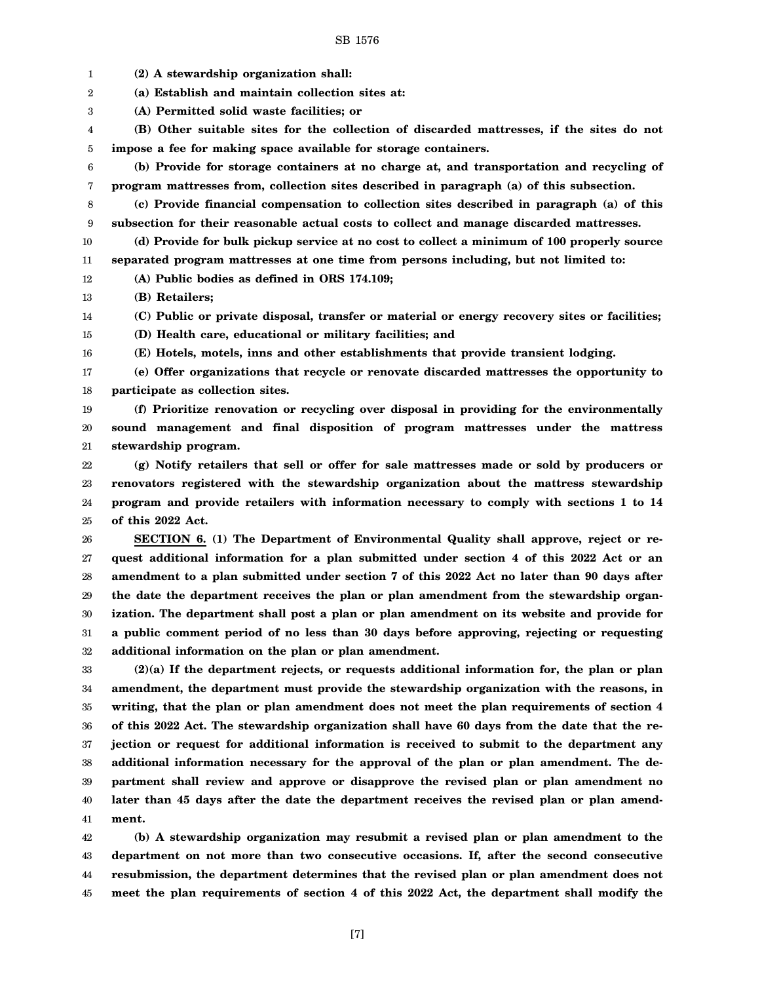1 2 3 4 5 6 7 8 9 10 11 12 13 14 15 16 17 18 19 20 21 22 23 24 25 26 27 28 29 30 31 32 33 34 35 36 37 38 39 40 41 **(2) A stewardship organization shall: (a) Establish and maintain collection sites at: (A) Permitted solid waste facilities; or (B) Other suitable sites for the collection of discarded mattresses, if the sites do not impose a fee for making space available for storage containers. (b) Provide for storage containers at no charge at, and transportation and recycling of program mattresses from, collection sites described in paragraph (a) of this subsection. (c) Provide financial compensation to collection sites described in paragraph (a) of this subsection for their reasonable actual costs to collect and manage discarded mattresses. (d) Provide for bulk pickup service at no cost to collect a minimum of 100 properly source separated program mattresses at one time from persons including, but not limited to: (A) Public bodies as defined in ORS 174.109; (B) Retailers; (C) Public or private disposal, transfer or material or energy recovery sites or facilities; (D) Health care, educational or military facilities; and (E) Hotels, motels, inns and other establishments that provide transient lodging. (e) Offer organizations that recycle or renovate discarded mattresses the opportunity to participate as collection sites. (f) Prioritize renovation or recycling over disposal in providing for the environmentally sound management and final disposition of program mattresses under the mattress stewardship program. (g) Notify retailers that sell or offer for sale mattresses made or sold by producers or renovators registered with the stewardship organization about the mattress stewardship program and provide retailers with information necessary to comply with sections 1 to 14 of this 2022 Act. SECTION 6. (1) The Department of Environmental Quality shall approve, reject or request additional information for a plan submitted under section 4 of this 2022 Act or an amendment to a plan submitted under section 7 of this 2022 Act no later than 90 days after the date the department receives the plan or plan amendment from the stewardship organization. The department shall post a plan or plan amendment on its website and provide for a public comment period of no less than 30 days before approving, rejecting or requesting additional information on the plan or plan amendment. (2)(a) If the department rejects, or requests additional information for, the plan or plan amendment, the department must provide the stewardship organization with the reasons, in writing, that the plan or plan amendment does not meet the plan requirements of section 4 of this 2022 Act. The stewardship organization shall have 60 days from the date that the rejection or request for additional information is received to submit to the department any additional information necessary for the approval of the plan or plan amendment. The department shall review and approve or disapprove the revised plan or plan amendment no later than 45 days after the date the department receives the revised plan or plan amendment.**

42 43 44 45 **(b) A stewardship organization may resubmit a revised plan or plan amendment to the department on not more than two consecutive occasions. If, after the second consecutive resubmission, the department determines that the revised plan or plan amendment does not meet the plan requirements of section 4 of this 2022 Act, the department shall modify the**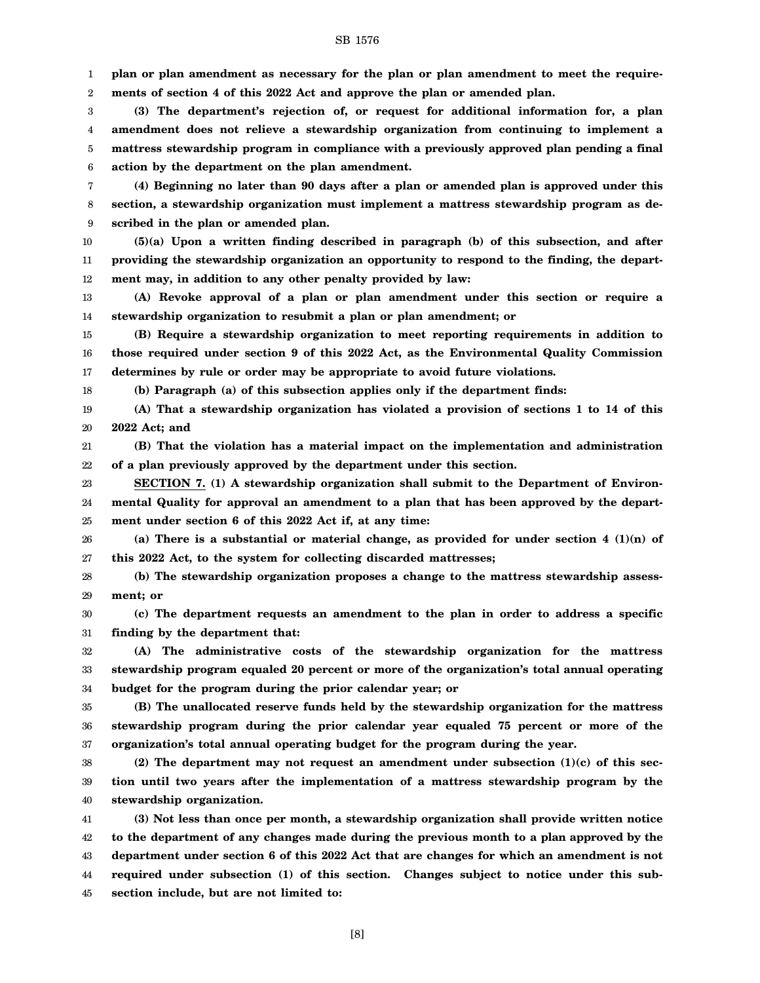1 **plan or plan amendment as necessary for the plan or plan amendment to meet the require-**

2 **ments of section 4 of this 2022 Act and approve the plan or amended plan.**

3 4 5 6 **(3) The department's rejection of, or request for additional information for, a plan amendment does not relieve a stewardship organization from continuing to implement a mattress stewardship program in compliance with a previously approved plan pending a final action by the department on the plan amendment.**

7 8 9 **(4) Beginning no later than 90 days after a plan or amended plan is approved under this section, a stewardship organization must implement a mattress stewardship program as described in the plan or amended plan.**

10 11 12 **(5)(a) Upon a written finding described in paragraph (b) of this subsection, and after providing the stewardship organization an opportunity to respond to the finding, the department may, in addition to any other penalty provided by law:**

13 14 **(A) Revoke approval of a plan or plan amendment under this section or require a stewardship organization to resubmit a plan or plan amendment; or**

15 16 17 **(B) Require a stewardship organization to meet reporting requirements in addition to those required under section 9 of this 2022 Act, as the Environmental Quality Commission determines by rule or order may be appropriate to avoid future violations.**

**(b) Paragraph (a) of this subsection applies only if the department finds:**

18

19 20 **(A) That a stewardship organization has violated a provision of sections 1 to 14 of this 2022 Act; and**

21 22 **(B) That the violation has a material impact on the implementation and administration of a plan previously approved by the department under this section.**

23 24 25 **SECTION 7. (1) A stewardship organization shall submit to the Department of Environmental Quality for approval an amendment to a plan that has been approved by the department under section 6 of this 2022 Act if, at any time:**

26 27 **(a) There is a substantial or material change, as provided for under section 4 (1)(n) of this 2022 Act, to the system for collecting discarded mattresses;**

28 29 **(b) The stewardship organization proposes a change to the mattress stewardship assessment; or**

30 31 **(c) The department requests an amendment to the plan in order to address a specific finding by the department that:**

32 33 34 **(A) The administrative costs of the stewardship organization for the mattress stewardship program equaled 20 percent or more of the organization's total annual operating budget for the program during the prior calendar year; or**

35 36 37 **(B) The unallocated reserve funds held by the stewardship organization for the mattress stewardship program during the prior calendar year equaled 75 percent or more of the organization's total annual operating budget for the program during the year.**

38 39 40 **(2) The department may not request an amendment under subsection (1)(c) of this section until two years after the implementation of a mattress stewardship program by the stewardship organization.**

41 42 43 44 45 **(3) Not less than once per month, a stewardship organization shall provide written notice to the department of any changes made during the previous month to a plan approved by the department under section 6 of this 2022 Act that are changes for which an amendment is not required under subsection (1) of this section. Changes subject to notice under this subsection include, but are not limited to:**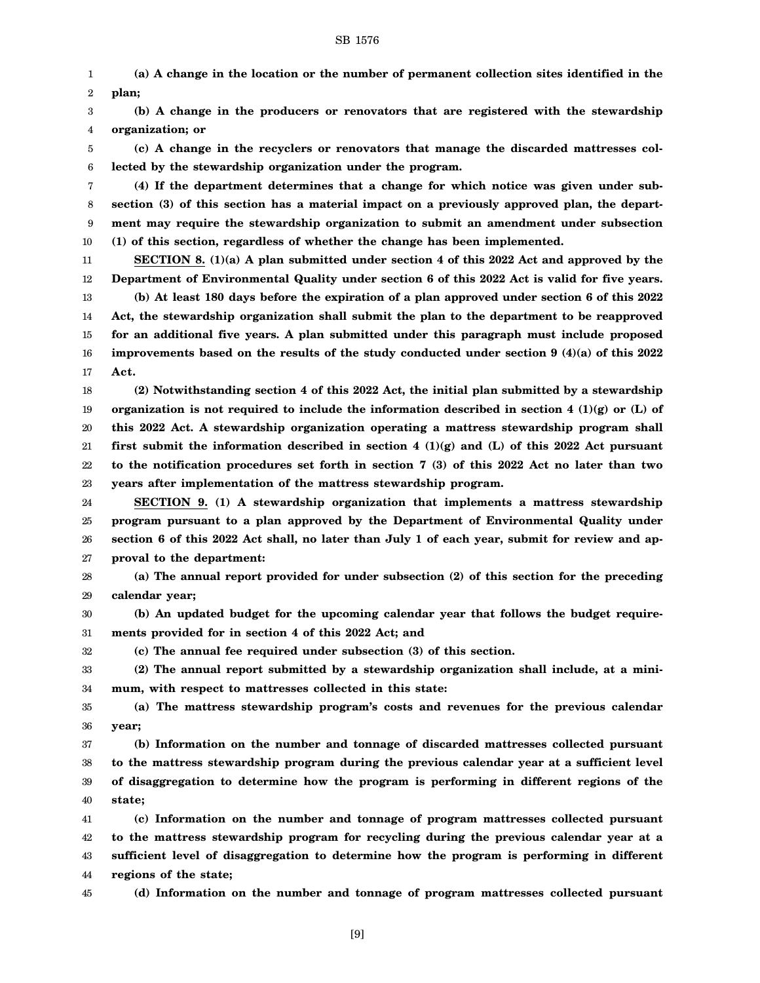1 2 **(a) A change in the location or the number of permanent collection sites identified in the plan;**

3 4 **(b) A change in the producers or renovators that are registered with the stewardship organization; or**

5 6 **(c) A change in the recyclers or renovators that manage the discarded mattresses collected by the stewardship organization under the program.**

7 8 9 10 **(4) If the department determines that a change for which notice was given under subsection (3) of this section has a material impact on a previously approved plan, the department may require the stewardship organization to submit an amendment under subsection (1) of this section, regardless of whether the change has been implemented.**

11 12 13 14 15 16 17 **SECTION 8. (1)(a) A plan submitted under section 4 of this 2022 Act and approved by the Department of Environmental Quality under section 6 of this 2022 Act is valid for five years. (b) At least 180 days before the expiration of a plan approved under section 6 of this 2022 Act, the stewardship organization shall submit the plan to the department to be reapproved for an additional five years. A plan submitted under this paragraph must include proposed improvements based on the results of the study conducted under section 9 (4)(a) of this 2022 Act.**

18 19 20 21 22 23 **(2) Notwithstanding section 4 of this 2022 Act, the initial plan submitted by a stewardship organization is not required to include the information described in section 4 (1)(g) or (L) of this 2022 Act. A stewardship organization operating a mattress stewardship program shall first submit the information described in section 4 (1)(g) and (L) of this 2022 Act pursuant to the notification procedures set forth in section 7 (3) of this 2022 Act no later than two years after implementation of the mattress stewardship program.**

24 25 26 27 **SECTION 9. (1) A stewardship organization that implements a mattress stewardship program pursuant to a plan approved by the Department of Environmental Quality under section 6 of this 2022 Act shall, no later than July 1 of each year, submit for review and approval to the department:**

28 29 **(a) The annual report provided for under subsection (2) of this section for the preceding calendar year;**

30 31 **(b) An updated budget for the upcoming calendar year that follows the budget requirements provided for in section 4 of this 2022 Act; and**

32

33 34 **(2) The annual report submitted by a stewardship organization shall include, at a minimum, with respect to mattresses collected in this state:**

**(c) The annual fee required under subsection (3) of this section.**

35 36 **(a) The mattress stewardship program's costs and revenues for the previous calendar year;**

37 38 39 40 **(b) Information on the number and tonnage of discarded mattresses collected pursuant to the mattress stewardship program during the previous calendar year at a sufficient level of disaggregation to determine how the program is performing in different regions of the state;**

41 42 43 44 **(c) Information on the number and tonnage of program mattresses collected pursuant to the mattress stewardship program for recycling during the previous calendar year at a sufficient level of disaggregation to determine how the program is performing in different regions of the state;**

45

**(d) Information on the number and tonnage of program mattresses collected pursuant**

[9]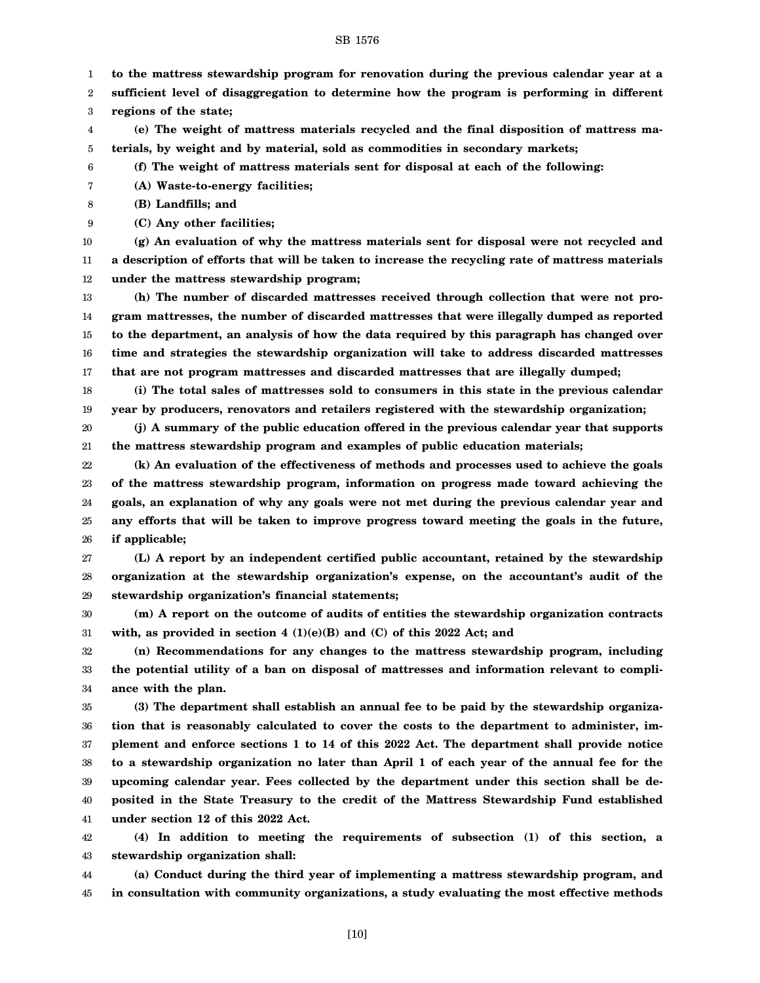- 1 **to the mattress stewardship program for renovation during the previous calendar year at a**
- 2 **sufficient level of disaggregation to determine how the program is performing in different**
- 3 **regions of the state;**
- 4 5 **(e) The weight of mattress materials recycled and the final disposition of mattress materials, by weight and by material, sold as commodities in secondary markets;**
- 6 **(f) The weight of mattress materials sent for disposal at each of the following:**
- 7 **(A) Waste-to-energy facilities;**
- 8 **(B) Landfills; and**
- 9 **(C) Any other facilities;**

10 11 12 **(g) An evaluation of why the mattress materials sent for disposal were not recycled and a description of efforts that will be taken to increase the recycling rate of mattress materials under the mattress stewardship program;**

13 14 15 16 17 **(h) The number of discarded mattresses received through collection that were not program mattresses, the number of discarded mattresses that were illegally dumped as reported to the department, an analysis of how the data required by this paragraph has changed over time and strategies the stewardship organization will take to address discarded mattresses that are not program mattresses and discarded mattresses that are illegally dumped;**

18 19 **(i) The total sales of mattresses sold to consumers in this state in the previous calendar year by producers, renovators and retailers registered with the stewardship organization;**

20 21 **(j) A summary of the public education offered in the previous calendar year that supports the mattress stewardship program and examples of public education materials;**

22 23 24 25 26 **(k) An evaluation of the effectiveness of methods and processes used to achieve the goals of the mattress stewardship program, information on progress made toward achieving the goals, an explanation of why any goals were not met during the previous calendar year and any efforts that will be taken to improve progress toward meeting the goals in the future, if applicable;**

27 28 29 **(L) A report by an independent certified public accountant, retained by the stewardship organization at the stewardship organization's expense, on the accountant's audit of the stewardship organization's financial statements;**

30 31 **(m) A report on the outcome of audits of entities the stewardship organization contracts with, as provided in section 4 (1)(e)(B) and (C) of this 2022 Act; and**

32 33 34 **(n) Recommendations for any changes to the mattress stewardship program, including the potential utility of a ban on disposal of mattresses and information relevant to compliance with the plan.**

35 36 37 38 39 40 41 **(3) The department shall establish an annual fee to be paid by the stewardship organization that is reasonably calculated to cover the costs to the department to administer, implement and enforce sections 1 to 14 of this 2022 Act. The department shall provide notice to a stewardship organization no later than April 1 of each year of the annual fee for the upcoming calendar year. Fees collected by the department under this section shall be deposited in the State Treasury to the credit of the Mattress Stewardship Fund established under section 12 of this 2022 Act.**

42 43 **(4) In addition to meeting the requirements of subsection (1) of this section, a stewardship organization shall:**

44 45 **(a) Conduct during the third year of implementing a mattress stewardship program, and in consultation with community organizations, a study evaluating the most effective methods**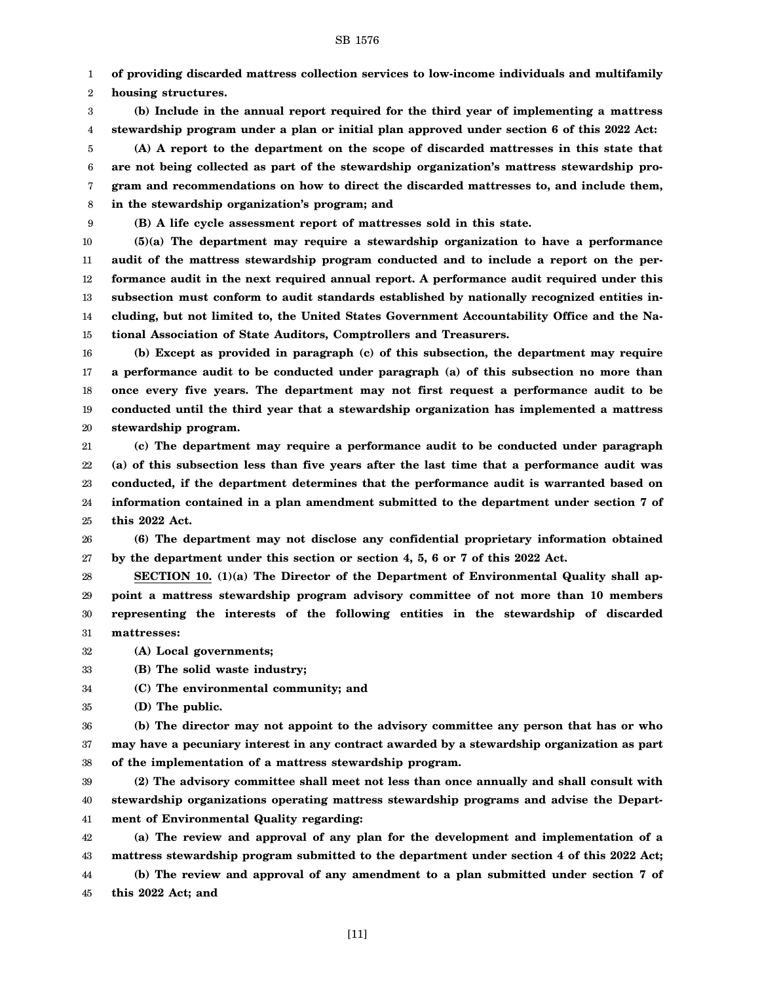1 **of providing discarded mattress collection services to low-income individuals and multifamily**

2 **housing structures.**

3 4 **(b) Include in the annual report required for the third year of implementing a mattress stewardship program under a plan or initial plan approved under section 6 of this 2022 Act:**

5 6 7 8 **(A) A report to the department on the scope of discarded mattresses in this state that are not being collected as part of the stewardship organization's mattress stewardship program and recommendations on how to direct the discarded mattresses to, and include them, in the stewardship organization's program; and**

9 **(B) A life cycle assessment report of mattresses sold in this state.**

10 11 12 13 14 **(5)(a) The department may require a stewardship organization to have a performance audit of the mattress stewardship program conducted and to include a report on the performance audit in the next required annual report. A performance audit required under this subsection must conform to audit standards established by nationally recognized entities including, but not limited to, the United States Government Accountability Office and the Na-**

15 **tional Association of State Auditors, Comptrollers and Treasurers.**

16 17 18 19 20 **(b) Except as provided in paragraph (c) of this subsection, the department may require a performance audit to be conducted under paragraph (a) of this subsection no more than once every five years. The department may not first request a performance audit to be conducted until the third year that a stewardship organization has implemented a mattress stewardship program.**

21 22 23 24 25 **(c) The department may require a performance audit to be conducted under paragraph (a) of this subsection less than five years after the last time that a performance audit was conducted, if the department determines that the performance audit is warranted based on information contained in a plan amendment submitted to the department under section 7 of this 2022 Act.**

26 27 **(6) The department may not disclose any confidential proprietary information obtained by the department under this section or section 4, 5, 6 or 7 of this 2022 Act.**

28 29 30 31 **SECTION 10. (1)(a) The Director of the Department of Environmental Quality shall appoint a mattress stewardship program advisory committee of not more than 10 members representing the interests of the following entities in the stewardship of discarded mattresses:**

32 **(A) Local governments;**

33 **(B) The solid waste industry;**

34 **(C) The environmental community; and**

35 **(D) The public.**

36 37 38 **(b) The director may not appoint to the advisory committee any person that has or who may have a pecuniary interest in any contract awarded by a stewardship organization as part of the implementation of a mattress stewardship program.**

39 40 41 **(2) The advisory committee shall meet not less than once annually and shall consult with stewardship organizations operating mattress stewardship programs and advise the Department of Environmental Quality regarding:**

42 43 44 **(a) The review and approval of any plan for the development and implementation of a mattress stewardship program submitted to the department under section 4 of this 2022 Act; (b) The review and approval of any amendment to a plan submitted under section 7 of**

45 **this 2022 Act; and**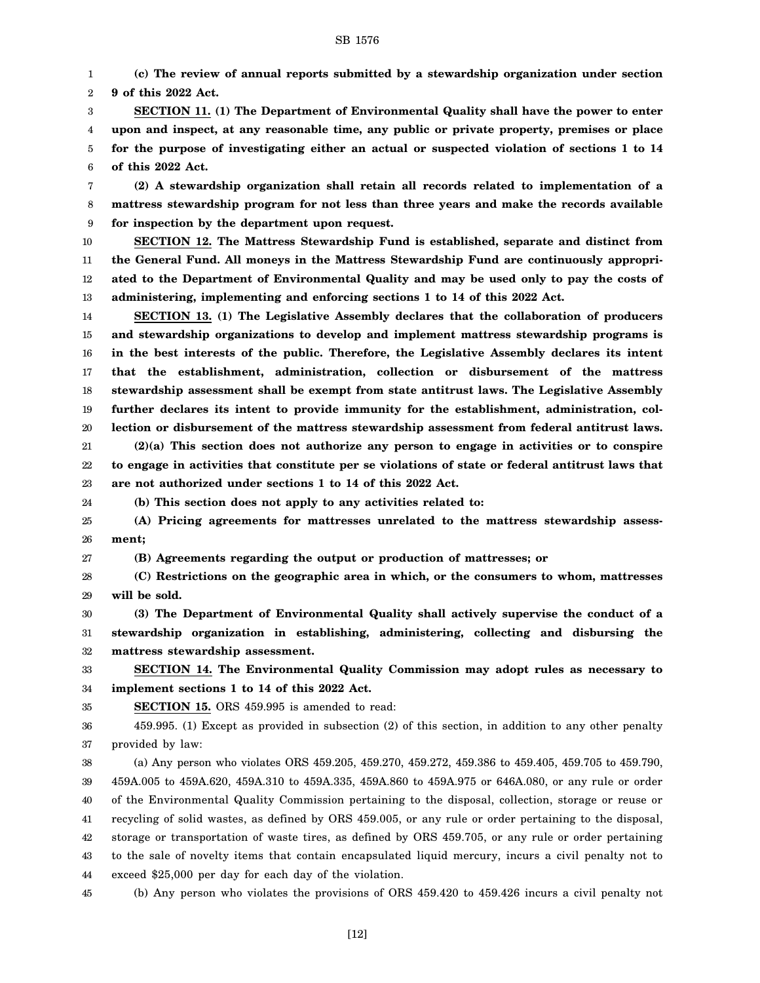1 2 **(c) The review of annual reports submitted by a stewardship organization under section 9 of this 2022 Act.**

3 4 5 6 **SECTION 11. (1) The Department of Environmental Quality shall have the power to enter upon and inspect, at any reasonable time, any public or private property, premises or place for the purpose of investigating either an actual or suspected violation of sections 1 to 14 of this 2022 Act.**

7 8 9 **(2) A stewardship organization shall retain all records related to implementation of a mattress stewardship program for not less than three years and make the records available for inspection by the department upon request.**

10 11 12 13 **SECTION 12. The Mattress Stewardship Fund is established, separate and distinct from the General Fund. All moneys in the Mattress Stewardship Fund are continuously appropriated to the Department of Environmental Quality and may be used only to pay the costs of administering, implementing and enforcing sections 1 to 14 of this 2022 Act.**

14 15 16 17 18 19 20 21 22 **SECTION 13. (1) The Legislative Assembly declares that the collaboration of producers and stewardship organizations to develop and implement mattress stewardship programs is in the best interests of the public. Therefore, the Legislative Assembly declares its intent that the establishment, administration, collection or disbursement of the mattress stewardship assessment shall be exempt from state antitrust laws. The Legislative Assembly further declares its intent to provide immunity for the establishment, administration, collection or disbursement of the mattress stewardship assessment from federal antitrust laws. (2)(a) This section does not authorize any person to engage in activities or to conspire to engage in activities that constitute per se violations of state or federal antitrust laws that**

23 24

**(b) This section does not apply to any activities related to:**

**are not authorized under sections 1 to 14 of this 2022 Act.**

25 26 **(A) Pricing agreements for mattresses unrelated to the mattress stewardship assessment;**

27 **(B) Agreements regarding the output or production of mattresses; or**

28 29 **(C) Restrictions on the geographic area in which, or the consumers to whom, mattresses will be sold.**

30 31 32 **(3) The Department of Environmental Quality shall actively supervise the conduct of a stewardship organization in establishing, administering, collecting and disbursing the mattress stewardship assessment.**

33 34 **SECTION 14. The Environmental Quality Commission may adopt rules as necessary to implement sections 1 to 14 of this 2022 Act.**

35 **SECTION 15.** ORS 459.995 is amended to read:

36 37 459.995. (1) Except as provided in subsection (2) of this section, in addition to any other penalty provided by law:

38 39 40 41 42 43 44 (a) Any person who violates ORS 459.205, 459.270, 459.272, 459.386 to 459.405, 459.705 to 459.790, 459A.005 to 459A.620, 459A.310 to 459A.335, 459A.860 to 459A.975 or 646A.080, or any rule or order of the Environmental Quality Commission pertaining to the disposal, collection, storage or reuse or recycling of solid wastes, as defined by ORS 459.005, or any rule or order pertaining to the disposal, storage or transportation of waste tires, as defined by ORS 459.705, or any rule or order pertaining to the sale of novelty items that contain encapsulated liquid mercury, incurs a civil penalty not to exceed \$25,000 per day for each day of the violation.

45 (b) Any person who violates the provisions of ORS 459.420 to 459.426 incurs a civil penalty not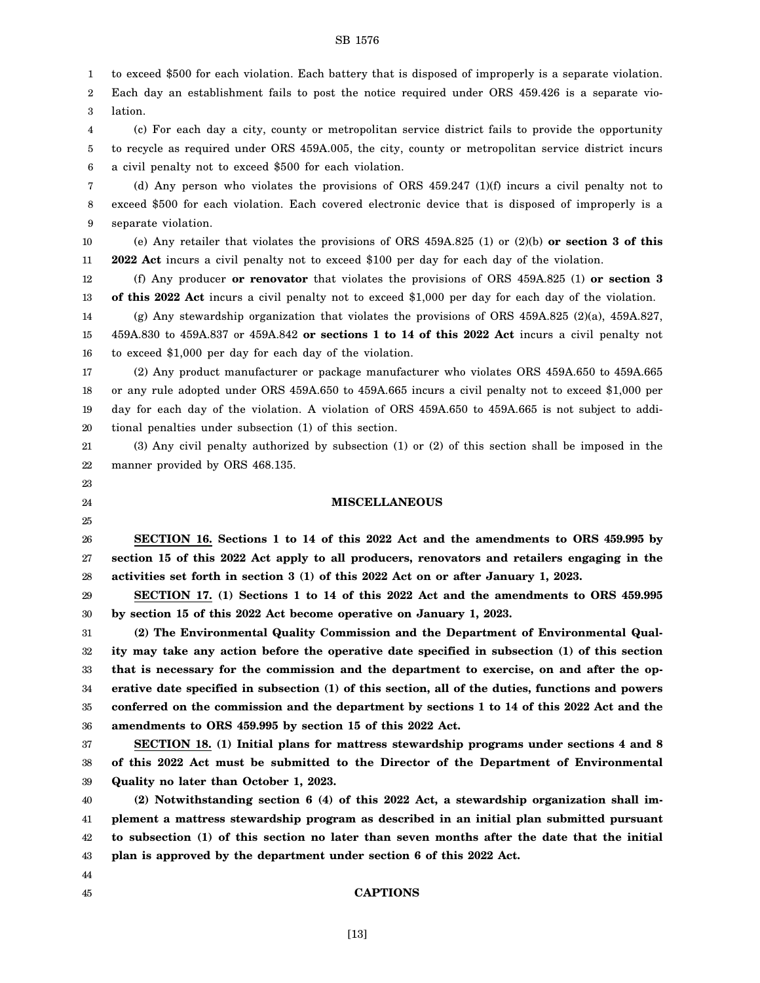1 to exceed \$500 for each violation. Each battery that is disposed of improperly is a separate violation.

2 3 Each day an establishment fails to post the notice required under ORS 459.426 is a separate violation.

4 5 6 (c) For each day a city, county or metropolitan service district fails to provide the opportunity to recycle as required under ORS 459A.005, the city, county or metropolitan service district incurs a civil penalty not to exceed \$500 for each violation.

7 8 9 (d) Any person who violates the provisions of ORS 459.247 (1)(f) incurs a civil penalty not to exceed \$500 for each violation. Each covered electronic device that is disposed of improperly is a separate violation.

10 11 (e) Any retailer that violates the provisions of ORS 459A.825 (1) or (2)(b) **or section 3 of this 2022 Act** incurs a civil penalty not to exceed \$100 per day for each day of the violation.

12 13 (f) Any producer **or renovator** that violates the provisions of ORS 459A.825 (1) **or section 3 of this 2022 Act** incurs a civil penalty not to exceed \$1,000 per day for each day of the violation.

14 (g) Any stewardship organization that violates the provisions of ORS 459A.825 (2)(a), 459A.827,

15 16 459A.830 to 459A.837 or 459A.842 **or sections 1 to 14 of this 2022 Act** incurs a civil penalty not to exceed \$1,000 per day for each day of the violation.

17 18 19 20 (2) Any product manufacturer or package manufacturer who violates ORS 459A.650 to 459A.665 or any rule adopted under ORS 459A.650 to 459A.665 incurs a civil penalty not to exceed \$1,000 per day for each day of the violation. A violation of ORS 459A.650 to 459A.665 is not subject to additional penalties under subsection (1) of this section.

21 22 (3) Any civil penalty authorized by subsection (1) or (2) of this section shall be imposed in the manner provided by ORS 468.135.

# 23

24 25

# **MISCELLANEOUS**

26 27 28 **SECTION 16. Sections 1 to 14 of this 2022 Act and the amendments to ORS 459.995 by section 15 of this 2022 Act apply to all producers, renovators and retailers engaging in the activities set forth in section 3 (1) of this 2022 Act on or after January 1, 2023.**

29 30 **SECTION 17. (1) Sections 1 to 14 of this 2022 Act and the amendments to ORS 459.995 by section 15 of this 2022 Act become operative on January 1, 2023.**

31 32 33 34 35 36 **(2) The Environmental Quality Commission and the Department of Environmental Quality may take any action before the operative date specified in subsection (1) of this section that is necessary for the commission and the department to exercise, on and after the operative date specified in subsection (1) of this section, all of the duties, functions and powers conferred on the commission and the department by sections 1 to 14 of this 2022 Act and the amendments to ORS 459.995 by section 15 of this 2022 Act.**

37 38 39 **SECTION 18. (1) Initial plans for mattress stewardship programs under sections 4 and 8 of this 2022 Act must be submitted to the Director of the Department of Environmental Quality no later than October 1, 2023.**

40 41 42 43 **(2) Notwithstanding section 6 (4) of this 2022 Act, a stewardship organization shall implement a mattress stewardship program as described in an initial plan submitted pursuant to subsection (1) of this section no later than seven months after the date that the initial plan is approved by the department under section 6 of this 2022 Act.**

44 45

# **CAPTIONS**